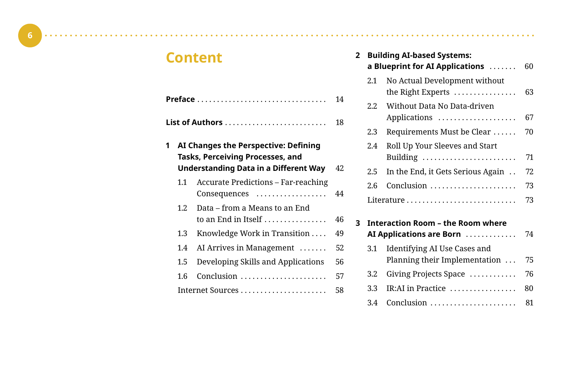# **Content**

|   |         |                                                                                                                          | 14  |
|---|---------|--------------------------------------------------------------------------------------------------------------------------|-----|
|   |         | List of Authors $\ldots \ldots \ldots \ldots \ldots \ldots \ldots$                                                       | 18  |
| 1 |         | AI Changes the Perspective: Defining<br>Tasks, Perceiving Processes, and<br><b>Understanding Data in a Different Way</b> | 42. |
|   | 11      | <b>Accurate Predictions - Far-reaching</b><br>Consequences                                                               | 44  |
|   | 1.2.    | Data – from a Means to an End<br>to an End in Itself $\ldots \ldots \ldots \ldots$                                       | 46  |
|   | $1.3\,$ | Knowledge Work in Transition $\dots$                                                                                     | 49  |
|   | 1.4     | AI Arrives in Management $\dots\dots$                                                                                    | 52  |
|   | $1.5\,$ | Developing Skills and Applications                                                                                       | 56  |
|   | 1.6     | Conclusion                                                                                                               | 57  |
|   |         |                                                                                                                          | 58  |

| $\overline{2}$ | <b>Building AI-based Systems:</b><br>a Blueprint for AI Applications |                                                    |    |
|----------------|----------------------------------------------------------------------|----------------------------------------------------|----|
|                | 2.1                                                                  | No Actual Development without<br>the Right Experts | 63 |
|                | $2.2^{\circ}$                                                        | Without Data No Data-driven<br>Applications        | 67 |
|                | 2.3                                                                  | Requirements Must be Clear                         | 70 |
|                | 2.4                                                                  | Roll Up Your Sleeves and Start<br>Building         | 71 |
|                | 2.5                                                                  | In the End, it Gets Serious Again                  | 72 |
|                | 2.6                                                                  | Conclusion                                         | 73 |
|                |                                                                      |                                                    | 73 |
| 3              |                                                                      | Interaction Room – the Room where                  |    |
|                |                                                                      | AI Applications are Born                           | 74 |
|                | 3.1                                                                  | Identifying AI Use Cases and                       |    |
|                |                                                                      | Planning their Implementation                      | 75 |
|                | 3.2                                                                  | Giving Projects Space                              | 76 |
|                | 3.3                                                                  | IR:AI in Practice                                  | 80 |
|                | 3.4                                                                  | Conclusion                                         | 81 |

 $\sim$ 

 $\sim$   $\sim$   $\sim$   $\sim$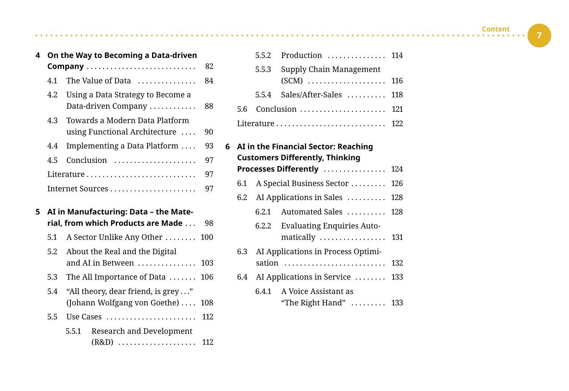| 4 | On the Way to Becoming a Data-driven |                                   |    |  |  |  |
|---|--------------------------------------|-----------------------------------|----|--|--|--|
|   | Company                              |                                   |    |  |  |  |
|   | 4.1                                  | The Value of Data                 | 84 |  |  |  |
|   | 4.2                                  | Using a Data Strategy to Become a |    |  |  |  |
|   |                                      | Data-driven Company               | 88 |  |  |  |
|   | 4.3                                  | Towards a Modern Data Platform    |    |  |  |  |
|   |                                      | using Functional Architecture     | 90 |  |  |  |
|   | 4.4                                  | Implementing a Data Platform      | 93 |  |  |  |
|   | 4.5                                  | Conclusion                        | 97 |  |  |  |
|   |                                      | Literature                        | 97 |  |  |  |
|   |                                      |                                   | 97 |  |  |  |
|   |                                      |                                   |    |  |  |  |

- **5 AI in Manufacturing: Data the Material, from which Products are Made** . . . 98
	- 5.1 A Sector Unlike Any Other ........ 100
	- 5.2 About the Real and the Digital and AI in Between  $\dots\dots\dots\dots$  103
	- 5.3 The All Importance of Data . . . . . . . 106
	- 5.4 "All theory, dear friend, is grey . . ." (Johann Wolfgang von Goethe) .... 108
	- 5.5 Use Cases . . . . . . . . . . . . . . . . . . . . . . . 112
		- 5.5.1 Research and Development (R&D) . . . . . . . . . . . . . . . . . . . . 112

|  | $5.5.2$ Production  114       |  |
|--|-------------------------------|--|
|  | 5.5.3 Supply Chain Management |  |
|  |                               |  |
|  | 5.5.4 Sales/After-Sales  118  |  |
|  | 5.6 Conclusion  121           |  |
|  |                               |  |
|  |                               |  |

**6 AI in the Financial Sector: Reaching Customers Differently, Thinking Processes Differently** ................. 124 6.1 A Special Business Sector . . . . . . . . 126 6.2 AI Applications in Sales  $\dots$ . . . . . . . 128  $6.2.1$  Automated Sales . . . . . . . . . 128 6.2.2 Evaluating Enquiries Automatically .................. 131 6.3 AI Applications in Process Optimisation ........................... 132 6.4 AI Applications in Service  $\dots$ . . . . . . 133 6.4.1 A Voice Assistant as "The Right Hand"  $\dots$  . . . . . . . 133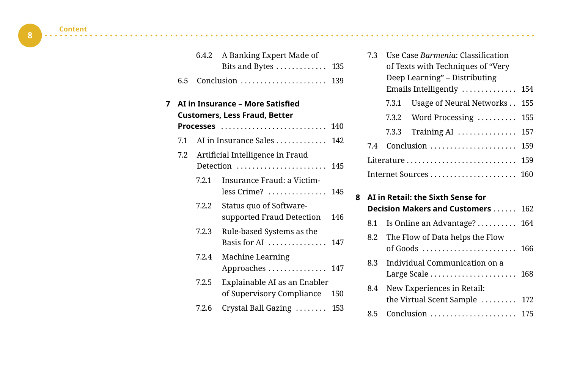$\bullet$ 

**8**

|   |     | 6.4.2 | A Banking Expert Made of<br>Bits and Bytes                               | 135 |
|---|-----|-------|--------------------------------------------------------------------------|-----|
|   | 6.5 |       |                                                                          | 139 |
| 7 |     |       | AI in Insurance - More Satisfied<br><b>Customers, Less Fraud, Better</b> |     |
|   |     |       | Processes                                                                | 140 |
|   | 7.1 |       | AI in Insurance Sales                                                    | 142 |
|   | 7.2 |       | Artificial Intelligence in Fraud                                         |     |
|   |     |       | Detection                                                                | 145 |
|   |     | 7.2.1 | Insurance Fraud: a Victim-<br>$less$ Crime?                              | 145 |
|   |     | 7.2.2 | Status quo of Software-<br>supported Fraud Detection                     | 146 |
|   |     | 7.2.3 | Rule-based Systems as the<br>Basis for AI                                | 147 |
|   |     | 7.2.4 | Machine Learning<br>Approaches  147                                      |     |
|   |     | 7.2.5 | Explainable AI as an Enabler<br>of Supervisory Compliance                | 150 |
|   |     | 7.2.6 | Crystal Ball Gazing                                                      | 153 |

i.

. . . . . . . . . . .

|  | 7.3                               | Use Case <i>Barmenia</i> : Classification |                                                    |     |  |  |
|--|-----------------------------------|-------------------------------------------|----------------------------------------------------|-----|--|--|
|  |                                   | of Texts with Techniques of "Very         |                                                    |     |  |  |
|  |                                   |                                           | Deep Learning" – Distributing                      |     |  |  |
|  |                                   |                                           | Emails Intelligently $\ldots \ldots \ldots \ldots$ | 154 |  |  |
|  |                                   |                                           | 7.3.1 Usage of Neural Networks 155                 |     |  |  |
|  |                                   |                                           | 7.3.2 Word Processing $155$                        |     |  |  |
|  |                                   | 7.3.3                                     | Training AI  157                                   |     |  |  |
|  | 7.4                               |                                           | Conclusion  159                                    |     |  |  |
|  |                                   |                                           | Literature 159                                     |     |  |  |
|  |                                   |                                           |                                                    |     |  |  |
|  | AI in Retail: the Sixth Sense for |                                           |                                                    |     |  |  |

| 8 | AI in Retail: the Sixth Sense for |                                                                                                 |     |  |  |  |
|---|-----------------------------------|-------------------------------------------------------------------------------------------------|-----|--|--|--|
|   |                                   | <b>Decision Makers and Customers</b> 162                                                        |     |  |  |  |
|   |                                   | 8.1 Is Online an Advantage? 164                                                                 |     |  |  |  |
|   |                                   | 8.2 The Flow of Data helps the Flow<br>of Goods $\dots\dots\dots\dots\dots\dots\dots\dots\dots$ | 166 |  |  |  |
|   | 8.3.                              | Individual Communication on a<br>Large Scale $\ldots \ldots \ldots \ldots \ldots \ldots$ 168    |     |  |  |  |
|   | 8.4                               | New Experiences in Retail:<br>the Virtual Scent Sample  172                                     |     |  |  |  |
|   | 85                                |                                                                                                 |     |  |  |  |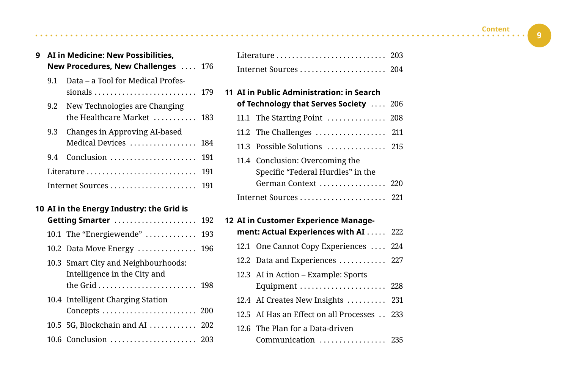**9**

| 9 |     | AI in Medicine: New Possibilities.<br>New Procedures, New Challenges                            | 176 |
|---|-----|-------------------------------------------------------------------------------------------------|-----|
|   | 9.1 | Data – a Tool for Medical Profes-<br>sionals $\ldots \ldots \ldots \ldots \ldots \ldots \ldots$ | 179 |
|   | 9.2 | New Technologies are Changing<br>the Healthcare Market $\ldots$ , $\ldots$                      | 183 |
|   | 9.3 | Changes in Approving AI-based<br>Medical Devices  184                                           |     |
|   | 9.4 | $Conclusion \dots \dots \dots \dots \dots \dots \dots$                                          | 191 |
|   |     | Literature                                                                                      | 191 |
|   |     |                                                                                                 | 191 |
|   |     |                                                                                                 |     |

 $\sim$   $\sim$ 

|  |  |  |  | 10 AI in the Energy Industry: the Grid is |  |  |
|--|--|--|--|-------------------------------------------|--|--|
|--|--|--|--|-------------------------------------------|--|--|

|  | Getting Smarter  192                                                |  |
|--|---------------------------------------------------------------------|--|
|  | 10.1 The "Energiewende"  193                                        |  |
|  | 10.2 Data Move Energy  196                                          |  |
|  | 10.3 Smart City and Neighbourhoods:<br>Intelligence in the City and |  |
|  | 10.4 Intelligent Charging Station<br>Concepts  200                  |  |
|  | 10.5 5G, Blockchain and AI  202                                     |  |
|  | 10.6 Conclusion  203                                                |  |
|  |                                                                     |  |

| 11 AI in Public Administration: in Search      |                                   |  |  |  |  |  |  |
|------------------------------------------------|-----------------------------------|--|--|--|--|--|--|
| of Technology that Serves Society $\ldots$ 206 |                                   |  |  |  |  |  |  |
|                                                | 11.1 The Starting Point  208      |  |  |  |  |  |  |
|                                                | 11.2 The Challenges  211          |  |  |  |  |  |  |
|                                                | 11.3 Possible Solutions  215      |  |  |  |  |  |  |
|                                                | 11.4 Conclusion: Overcoming the   |  |  |  |  |  |  |
|                                                | Specific "Federal Hurdles" in the |  |  |  |  |  |  |
|                                                | German Context  220               |  |  |  |  |  |  |
|                                                |                                   |  |  |  |  |  |  |

| 12 AI in Customer Experience Manage-  |                                            |  |  |
|---------------------------------------|--------------------------------------------|--|--|
| ment: Actual Experiences with AI  222 |                                            |  |  |
|                                       | 12.1 One Cannot Copy Experiences  224      |  |  |
|                                       | 12.2 Data and Experiences  227             |  |  |
|                                       | 12.3 AI in Action – Example: Sports        |  |  |
|                                       | Equipment  228                             |  |  |
|                                       | 12.4 AI Creates New Insights  231          |  |  |
|                                       | 12.5 AI Has an Effect on all Processes 233 |  |  |
|                                       | 12.6 The Plan for a Data-driven            |  |  |
|                                       | Communication  235                         |  |  |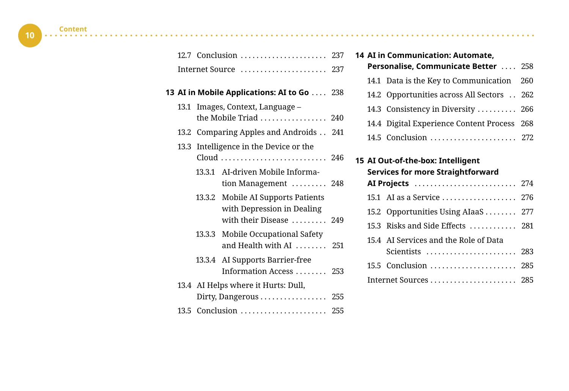| 12.7 Conclusion  237 |  |
|----------------------|--|
| Internet Source  237 |  |

#### **13 AI in Mobile Applications: AI to Go** . . . . 238

- 13.1 Images, Context, Language the Mobile Triad  $\ldots$ ............... 240
- 13.2 Comparing Apples and Androids . . 241
- 13.3 Intelligence in the Device or the Cloud . . . . . . . . . . . . . . . . . . . . . . . . . . . 246
	- 13.3.1 AI-driven Mobile Information Management  $\dots\dots\dots$  248
	- 13.3.2 Mobile AI Supports Patients with Depression in Dealing with their Disease  $\dots \dots$  . 249
	- 13.3.3 Mobile Occupational Safety and Health with AI  $\ldots$  . . . . . . 251
	- 13.3.4 AI Supports Barrier-free Information Access . . . . . . . 253
- 13.4 AI Helps where it Hurts: Dull, Dirty, Dangerous . . . . . . . . . . . . . . . . 255 13.5 Conclusion . . . . . . . . . . . . . . . . . . . . . . 255

### **14 AI in Communication: Automate,**

| Personalise, Communicate Better  258 |                                             |  |
|--------------------------------------|---------------------------------------------|--|
|                                      | 14.1 Data is the Key to Communication 260   |  |
|                                      | 14.2 Opportunities across All Sectors 262   |  |
|                                      | 14.3 Consistency in Diversity  266          |  |
|                                      | 14.4 Digital Experience Content Process 268 |  |
|                                      | 14.5 Conclusion  272                        |  |

## **15 AI Out-of-the-box: Intelligent Services for more Straightforward AI Projects** . . . . . . . . . . . . . . . . . . . . . . . . . . 274 15.1 AI as a Service . . . . . . . . . . . . . . . . . 276 15.2 Opportunities Using AIaaS . . . . . . . 277 15.3 Risks and Side Effects . . . . . . . . . . 281 15.4 AI Services and the Role of Data Scientists . . . . . . . . . . . . . . . . . . . . . . . 283 15.5 Conclusion . . . . . . . . . . . . . . . . . . . . . . 285 Internet Sources . . . . . . . . . . . . . . . . . . . . . . 285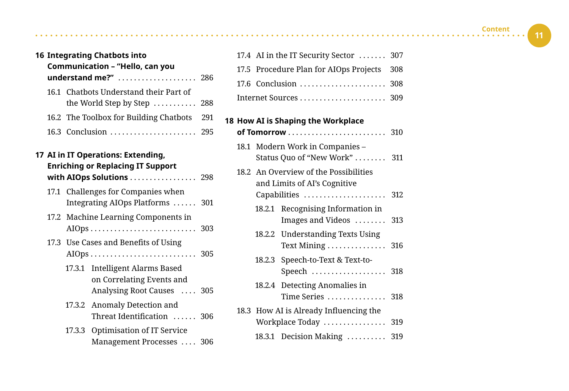| <b>16 Integrating Chatbots into</b> |        |                                                          |     |
|-------------------------------------|--------|----------------------------------------------------------|-----|
| Communication - "Hello, can you     |        |                                                          |     |
| understand me?"                     |        |                                                          | 286 |
|                                     |        | 16.1 Chatbots Understand their Part of                   |     |
|                                     |        | the World Step by Step $\ldots$                          | 288 |
|                                     |        | 16.2 The Toolbox for Building Chatbots                   | 291 |
|                                     |        | 16.3 Conclusion                                          | 295 |
|                                     |        | 17 AI in IT Operations: Extending,                       |     |
|                                     |        | <b>Enriching or Replacing IT Support</b>                 |     |
|                                     |        | with AIOps Solutions  298                                |     |
|                                     |        | 17.1 Challenges for Companies when                       |     |
|                                     |        | Integrating AIOps Platforms  301                         |     |
|                                     |        | 17.2 Machine Learning Components in                      |     |
|                                     |        | $AIOps \ldots \ldots \ldots \ldots \ldots \ldots \ldots$ |     |
|                                     |        | 17.3 Use Cases and Benefits of Using                     |     |
|                                     |        |                                                          |     |
|                                     |        | 17.3.1 Intelligent Alarms Based                          |     |
|                                     |        | on Correlating Events and                                |     |
|                                     |        | Analysing Root Causes  305                               |     |
|                                     |        | 17.3.2 Anomaly Detection and                             |     |
|                                     |        | Threat Identification  306                               |     |
|                                     | 17.3.3 | Optimisation of IT Service                               |     |
|                                     |        | Management Processes  306                                |     |
|                                     |        |                                                          |     |
|                                     |        |                                                          |     |

| Lleur AT in Chapina the Weylrolane |                                            |  |  |  |
|------------------------------------|--------------------------------------------|--|--|--|
|                                    |                                            |  |  |  |
|                                    |                                            |  |  |  |
|                                    | 17.5 Procedure Plan for AIOps Projects 308 |  |  |  |
|                                    | 17.4 AI in the IT Security Sector  307     |  |  |  |

#### **18 How AI is Shaping the Workplace**

|  |                                                                                            | 18.1 Modern Work in Companies -<br>Status Quo of "New Work"  311        |  |  |
|--|--------------------------------------------------------------------------------------------|-------------------------------------------------------------------------|--|--|
|  | 18.2 An Overview of the Possibilities<br>and Limits of AI's Cognitive<br>Capabilities  312 |                                                                         |  |  |
|  |                                                                                            | 18.2.1 Recognising Information in<br>Images and Videos  313             |  |  |
|  |                                                                                            | 18.2.2 Understanding Texts Using                                        |  |  |
|  |                                                                                            | 18.2.3 Speech-to-Text & Text-to-<br>Speech  318                         |  |  |
|  |                                                                                            | 18.2.4 Detecting Anomalies in<br>Time Series $\dots\dots\dots\dots$ 318 |  |  |
|  | 18.3 How AI is Already Influencing the<br>Workplace Today                                  |                                                                         |  |  |
|  |                                                                                            | 18.3.1 Decision Making  319                                             |  |  |